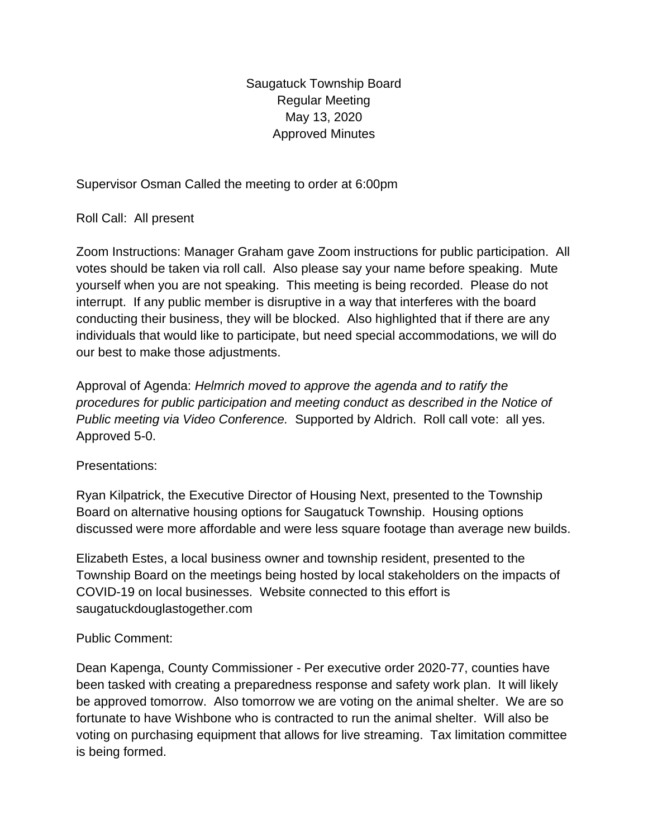Saugatuck Township Board Regular Meeting May 13, 2020 Approved Minutes

Supervisor Osman Called the meeting to order at 6:00pm

Roll Call: All present

Zoom Instructions: Manager Graham gave Zoom instructions for public participation. All votes should be taken via roll call. Also please say your name before speaking. Mute yourself when you are not speaking. This meeting is being recorded. Please do not interrupt. If any public member is disruptive in a way that interferes with the board conducting their business, they will be blocked. Also highlighted that if there are any individuals that would like to participate, but need special accommodations, we will do our best to make those adjustments.

Approval of Agenda: *Helmrich moved to approve the agenda and to ratify the procedures for public participation and meeting conduct as described in the Notice of Public meeting via Video Conference.* Supported by Aldrich. Roll call vote: all yes. Approved 5-0.

## Presentations:

Ryan Kilpatrick, the Executive Director of Housing Next, presented to the Township Board on alternative housing options for Saugatuck Township. Housing options discussed were more affordable and were less square footage than average new builds.

Elizabeth Estes, a local business owner and township resident, presented to the Township Board on the meetings being hosted by local stakeholders on the impacts of COVID-19 on local businesses. Website connected to this effort is saugatuckdouglastogether.com

# Public Comment:

Dean Kapenga, County Commissioner - Per executive order 2020-77, counties have been tasked with creating a preparedness response and safety work plan. It will likely be approved tomorrow. Also tomorrow we are voting on the animal shelter. We are so fortunate to have Wishbone who is contracted to run the animal shelter. Will also be voting on purchasing equipment that allows for live streaming. Tax limitation committee is being formed.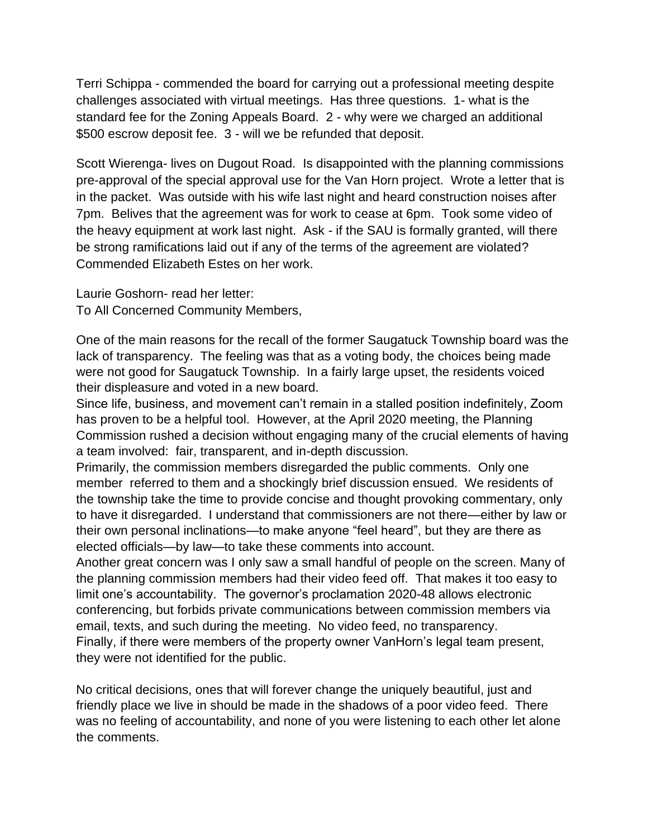Terri Schippa - commended the board for carrying out a professional meeting despite challenges associated with virtual meetings. Has three questions. 1- what is the standard fee for the Zoning Appeals Board. 2 - why were we charged an additional \$500 escrow deposit fee. 3 - will we be refunded that deposit.

Scott Wierenga- lives on Dugout Road. Is disappointed with the planning commissions pre-approval of the special approval use for the Van Horn project. Wrote a letter that is in the packet. Was outside with his wife last night and heard construction noises after 7pm. Belives that the agreement was for work to cease at 6pm. Took some video of the heavy equipment at work last night. Ask - if the SAU is formally granted, will there be strong ramifications laid out if any of the terms of the agreement are violated? Commended Elizabeth Estes on her work.

Laurie Goshorn- read her letter: To All Concerned Community Members,

One of the main reasons for the recall of the former Saugatuck Township board was the lack of transparency. The feeling was that as a voting body, the choices being made were not good for Saugatuck Township. In a fairly large upset, the residents voiced their displeasure and voted in a new board.

Since life, business, and movement can't remain in a stalled position indefinitely, Zoom has proven to be a helpful tool. However, at the April 2020 meeting, the Planning Commission rushed a decision without engaging many of the crucial elements of having a team involved: fair, transparent, and in-depth discussion.

Primarily, the commission members disregarded the public comments. Only one member referred to them and a shockingly brief discussion ensued. We residents of the township take the time to provide concise and thought provoking commentary, only to have it disregarded. I understand that commissioners are not there—either by law or their own personal inclinations—to make anyone "feel heard", but they are there as elected officials—by law—to take these comments into account.

Another great concern was I only saw a small handful of people on the screen. Many of the planning commission members had their video feed off. That makes it too easy to limit one's accountability. The governor's proclamation 2020-48 allows electronic conferencing, but forbids private communications between commission members via email, texts, and such during the meeting. No video feed, no transparency. Finally, if there were members of the property owner VanHorn's legal team present, they were not identified for the public.

No critical decisions, ones that will forever change the uniquely beautiful, just and friendly place we live in should be made in the shadows of a poor video feed. There was no feeling of accountability, and none of you were listening to each other let alone the comments.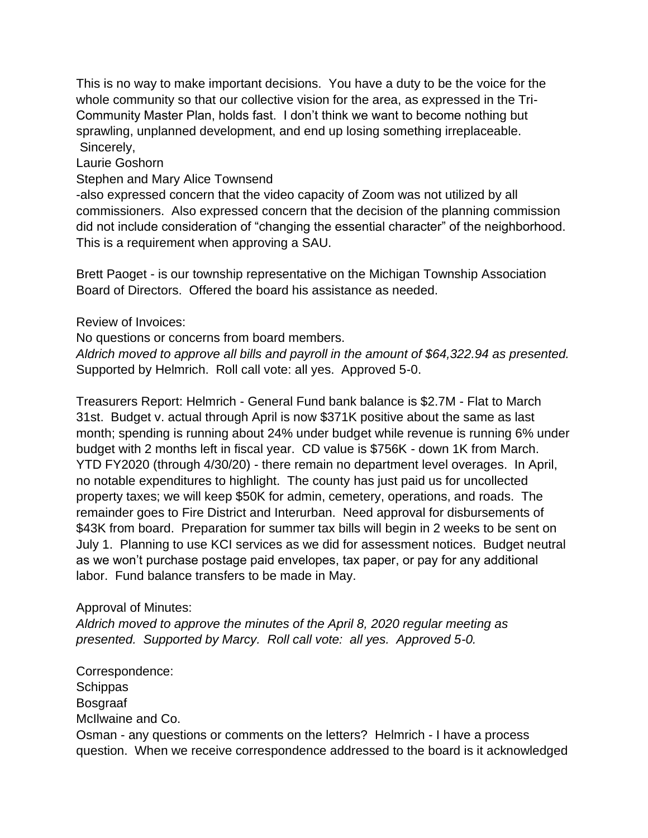This is no way to make important decisions. You have a duty to be the voice for the whole community so that our collective vision for the area, as expressed in the Tri-Community Master Plan, holds fast. I don't think we want to become nothing but sprawling, unplanned development, and end up losing something irreplaceable. Sincerely,

Laurie Goshorn

Stephen and Mary Alice Townsend

-also expressed concern that the video capacity of Zoom was not utilized by all commissioners. Also expressed concern that the decision of the planning commission did not include consideration of "changing the essential character" of the neighborhood. This is a requirement when approving a SAU.

Brett Paoget - is our township representative on the Michigan Township Association Board of Directors. Offered the board his assistance as needed.

Review of Invoices:

No questions or concerns from board members.

*Aldrich moved to approve all bills and payroll in the amount of \$64,322.94 as presented.* Supported by Helmrich. Roll call vote: all yes. Approved 5-0.

Treasurers Report: Helmrich - General Fund bank balance is \$2.7M - Flat to March 31st. Budget v. actual through April is now \$371K positive about the same as last month; spending is running about 24% under budget while revenue is running 6% under budget with 2 months left in fiscal year. CD value is \$756K - down 1K from March. YTD FY2020 (through 4/30/20) - there remain no department level overages. In April, no notable expenditures to highlight. The county has just paid us for uncollected property taxes; we will keep \$50K for admin, cemetery, operations, and roads. The remainder goes to Fire District and Interurban. Need approval for disbursements of \$43K from board. Preparation for summer tax bills will begin in 2 weeks to be sent on July 1. Planning to use KCI services as we did for assessment notices. Budget neutral as we won't purchase postage paid envelopes, tax paper, or pay for any additional labor. Fund balance transfers to be made in May.

# Approval of Minutes:

*Aldrich moved to approve the minutes of the April 8, 2020 regular meeting as presented. Supported by Marcy. Roll call vote: all yes. Approved 5-0.* 

Correspondence: **Schippas** Bosgraaf McIlwaine and Co. Osman - any questions or comments on the letters? Helmrich - I have a process question. When we receive correspondence addressed to the board is it acknowledged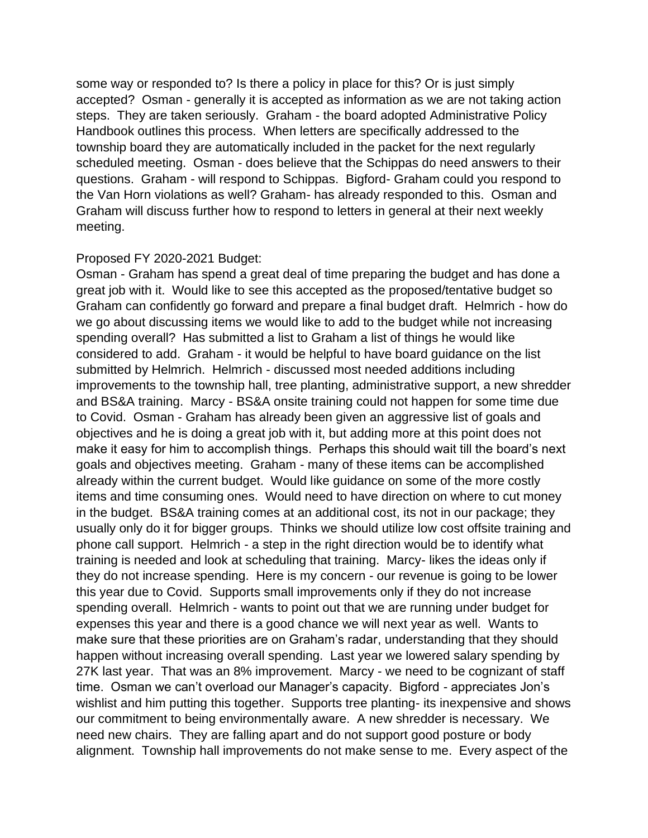some way or responded to? Is there a policy in place for this? Or is just simply accepted? Osman - generally it is accepted as information as we are not taking action steps. They are taken seriously. Graham - the board adopted Administrative Policy Handbook outlines this process. When letters are specifically addressed to the township board they are automatically included in the packet for the next regularly scheduled meeting. Osman - does believe that the Schippas do need answers to their questions. Graham - will respond to Schippas. Bigford- Graham could you respond to the Van Horn violations as well? Graham- has already responded to this. Osman and Graham will discuss further how to respond to letters in general at their next weekly meeting.

### Proposed FY 2020-2021 Budget:

Osman - Graham has spend a great deal of time preparing the budget and has done a great job with it. Would like to see this accepted as the proposed/tentative budget so Graham can confidently go forward and prepare a final budget draft. Helmrich - how do we go about discussing items we would like to add to the budget while not increasing spending overall? Has submitted a list to Graham a list of things he would like considered to add. Graham - it would be helpful to have board guidance on the list submitted by Helmrich. Helmrich - discussed most needed additions including improvements to the township hall, tree planting, administrative support, a new shredder and BS&A training. Marcy - BS&A onsite training could not happen for some time due to Covid. Osman - Graham has already been given an aggressive list of goals and objectives and he is doing a great job with it, but adding more at this point does not make it easy for him to accomplish things. Perhaps this should wait till the board's next goals and objectives meeting. Graham - many of these items can be accomplished already within the current budget. Would like guidance on some of the more costly items and time consuming ones. Would need to have direction on where to cut money in the budget. BS&A training comes at an additional cost, its not in our package; they usually only do it for bigger groups. Thinks we should utilize low cost offsite training and phone call support. Helmrich - a step in the right direction would be to identify what training is needed and look at scheduling that training. Marcy- likes the ideas only if they do not increase spending. Here is my concern - our revenue is going to be lower this year due to Covid. Supports small improvements only if they do not increase spending overall. Helmrich - wants to point out that we are running under budget for expenses this year and there is a good chance we will next year as well. Wants to make sure that these priorities are on Graham's radar, understanding that they should happen without increasing overall spending. Last year we lowered salary spending by 27K last year. That was an 8% improvement. Marcy - we need to be cognizant of staff time. Osman we can't overload our Manager's capacity. Bigford - appreciates Jon's wishlist and him putting this together. Supports tree planting- its inexpensive and shows our commitment to being environmentally aware. A new shredder is necessary. We need new chairs. They are falling apart and do not support good posture or body alignment. Township hall improvements do not make sense to me. Every aspect of the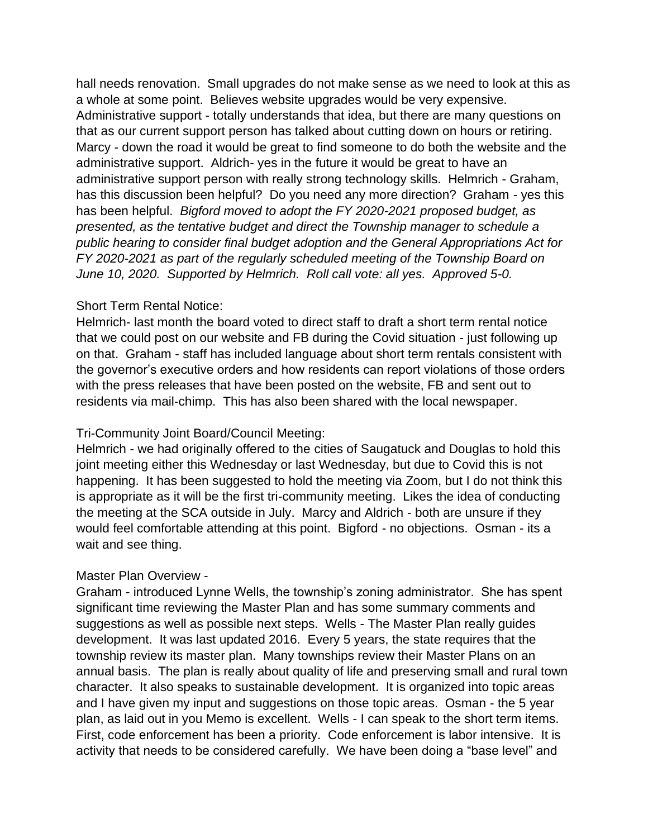hall needs renovation. Small upgrades do not make sense as we need to look at this as a whole at some point. Believes website upgrades would be very expensive. Administrative support - totally understands that idea, but there are many questions on that as our current support person has talked about cutting down on hours or retiring. Marcy - down the road it would be great to find someone to do both the website and the administrative support. Aldrich- yes in the future it would be great to have an administrative support person with really strong technology skills. Helmrich - Graham, has this discussion been helpful? Do you need any more direction? Graham - yes this has been helpful. *Bigford moved to adopt the FY 2020-2021 proposed budget, as presented, as the tentative budget and direct the Township manager to schedule a public hearing to consider final budget adoption and the General Appropriations Act for FY 2020-2021 as part of the regularly scheduled meeting of the Township Board on June 10, 2020. Supported by Helmrich. Roll call vote: all yes. Approved 5-0.*

## Short Term Rental Notice:

Helmrich- last month the board voted to direct staff to draft a short term rental notice that we could post on our website and FB during the Covid situation - just following up on that. Graham - staff has included language about short term rentals consistent with the governor's executive orders and how residents can report violations of those orders with the press releases that have been posted on the website, FB and sent out to residents via mail-chimp. This has also been shared with the local newspaper.

# Tri-Community Joint Board/Council Meeting:

Helmrich - we had originally offered to the cities of Saugatuck and Douglas to hold this joint meeting either this Wednesday or last Wednesday, but due to Covid this is not happening. It has been suggested to hold the meeting via Zoom, but I do not think this is appropriate as it will be the first tri-community meeting. Likes the idea of conducting the meeting at the SCA outside in July. Marcy and Aldrich - both are unsure if they would feel comfortable attending at this point. Bigford - no objections. Osman - its a wait and see thing.

# Master Plan Overview -

Graham - introduced Lynne Wells, the township's zoning administrator. She has spent significant time reviewing the Master Plan and has some summary comments and suggestions as well as possible next steps. Wells - The Master Plan really guides development. It was last updated 2016. Every 5 years, the state requires that the township review its master plan. Many townships review their Master Plans on an annual basis. The plan is really about quality of life and preserving small and rural town character. It also speaks to sustainable development. It is organized into topic areas and I have given my input and suggestions on those topic areas. Osman - the 5 year plan, as laid out in you Memo is excellent. Wells - I can speak to the short term items. First, code enforcement has been a priority. Code enforcement is labor intensive. It is activity that needs to be considered carefully. We have been doing a "base level" and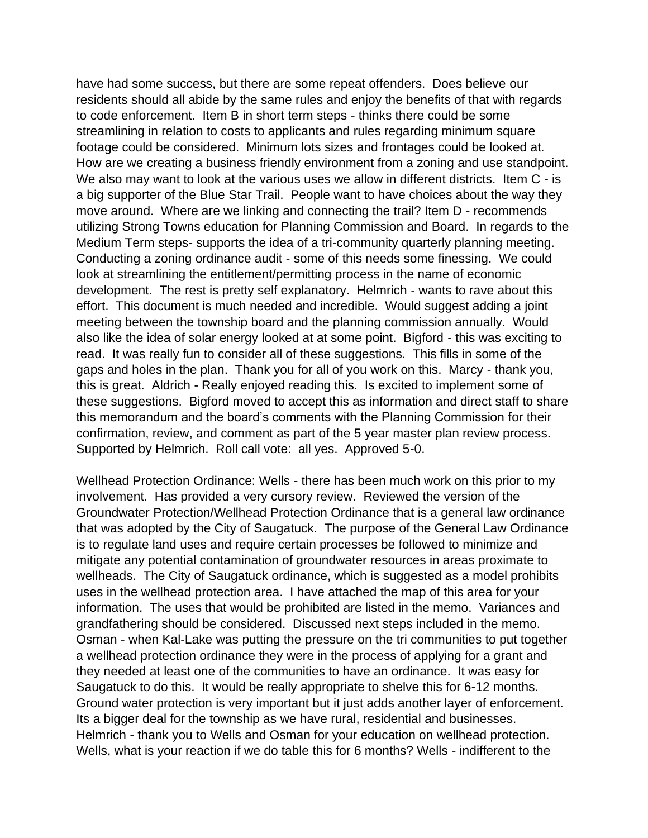have had some success, but there are some repeat offenders. Does believe our residents should all abide by the same rules and enjoy the benefits of that with regards to code enforcement. Item B in short term steps - thinks there could be some streamlining in relation to costs to applicants and rules regarding minimum square footage could be considered. Minimum lots sizes and frontages could be looked at. How are we creating a business friendly environment from a zoning and use standpoint. We also may want to look at the various uses we allow in different districts. Item C - is a big supporter of the Blue Star Trail. People want to have choices about the way they move around. Where are we linking and connecting the trail? Item D - recommends utilizing Strong Towns education for Planning Commission and Board. In regards to the Medium Term steps- supports the idea of a tri-community quarterly planning meeting. Conducting a zoning ordinance audit - some of this needs some finessing. We could look at streamlining the entitlement/permitting process in the name of economic development. The rest is pretty self explanatory. Helmrich - wants to rave about this effort. This document is much needed and incredible. Would suggest adding a joint meeting between the township board and the planning commission annually. Would also like the idea of solar energy looked at at some point. Bigford - this was exciting to read. It was really fun to consider all of these suggestions. This fills in some of the gaps and holes in the plan. Thank you for all of you work on this. Marcy - thank you, this is great. Aldrich - Really enjoyed reading this. Is excited to implement some of these suggestions. Bigford moved to accept this as information and direct staff to share this memorandum and the board's comments with the Planning Commission for their confirmation, review, and comment as part of the 5 year master plan review process. Supported by Helmrich. Roll call vote: all yes. Approved 5-0.

Wellhead Protection Ordinance: Wells - there has been much work on this prior to my involvement. Has provided a very cursory review. Reviewed the version of the Groundwater Protection/Wellhead Protection Ordinance that is a general law ordinance that was adopted by the City of Saugatuck. The purpose of the General Law Ordinance is to regulate land uses and require certain processes be followed to minimize and mitigate any potential contamination of groundwater resources in areas proximate to wellheads. The City of Saugatuck ordinance, which is suggested as a model prohibits uses in the wellhead protection area. I have attached the map of this area for your information. The uses that would be prohibited are listed in the memo. Variances and grandfathering should be considered. Discussed next steps included in the memo. Osman - when Kal-Lake was putting the pressure on the tri communities to put together a wellhead protection ordinance they were in the process of applying for a grant and they needed at least one of the communities to have an ordinance. It was easy for Saugatuck to do this. It would be really appropriate to shelve this for 6-12 months. Ground water protection is very important but it just adds another layer of enforcement. Its a bigger deal for the township as we have rural, residential and businesses. Helmrich - thank you to Wells and Osman for your education on wellhead protection. Wells, what is your reaction if we do table this for 6 months? Wells - indifferent to the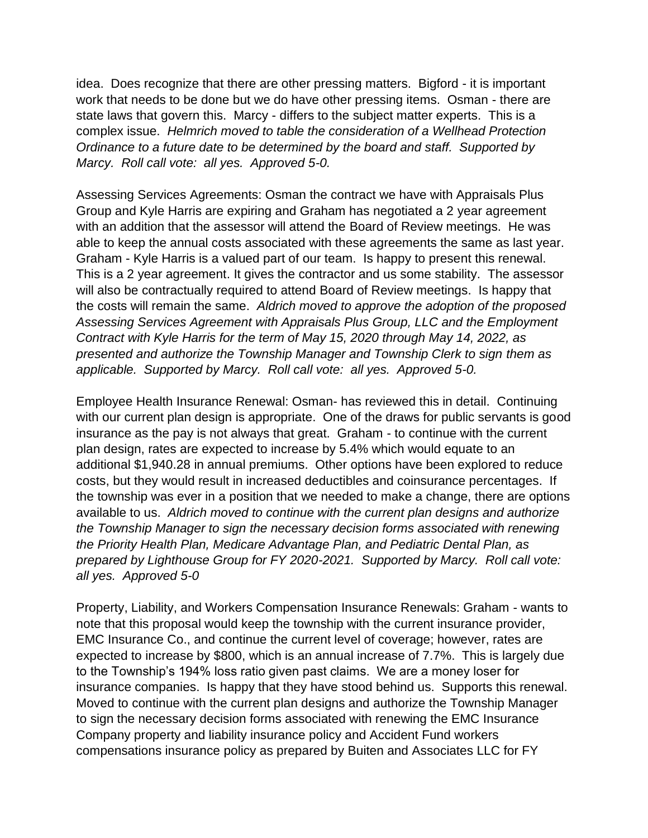idea. Does recognize that there are other pressing matters. Bigford - it is important work that needs to be done but we do have other pressing items. Osman - there are state laws that govern this. Marcy - differs to the subject matter experts. This is a complex issue. *Helmrich moved to table the consideration of a Wellhead Protection Ordinance to a future date to be determined by the board and staff. Supported by Marcy. Roll call vote: all yes. Approved 5-0.*

Assessing Services Agreements: Osman the contract we have with Appraisals Plus Group and Kyle Harris are expiring and Graham has negotiated a 2 year agreement with an addition that the assessor will attend the Board of Review meetings. He was able to keep the annual costs associated with these agreements the same as last year. Graham - Kyle Harris is a valued part of our team. Is happy to present this renewal. This is a 2 year agreement. It gives the contractor and us some stability. The assessor will also be contractually required to attend Board of Review meetings. Is happy that the costs will remain the same. *Aldrich moved to approve the adoption of the proposed Assessing Services Agreement with Appraisals Plus Group, LLC and the Employment Contract with Kyle Harris for the term of May 15, 2020 through May 14, 2022, as presented and authorize the Township Manager and Township Clerk to sign them as applicable. Supported by Marcy. Roll call vote: all yes. Approved 5-0.*

Employee Health Insurance Renewal: Osman- has reviewed this in detail. Continuing with our current plan design is appropriate. One of the draws for public servants is good insurance as the pay is not always that great. Graham - to continue with the current plan design, rates are expected to increase by 5.4% which would equate to an additional \$1,940.28 in annual premiums. Other options have been explored to reduce costs, but they would result in increased deductibles and coinsurance percentages. If the township was ever in a position that we needed to make a change, there are options available to us. *Aldrich moved to continue with the current plan designs and authorize the Township Manager to sign the necessary decision forms associated with renewing the Priority Health Plan, Medicare Advantage Plan, and Pediatric Dental Plan, as prepared by Lighthouse Group for FY 2020-2021. Supported by Marcy. Roll call vote: all yes. Approved 5-0*

Property, Liability, and Workers Compensation Insurance Renewals: Graham - wants to note that this proposal would keep the township with the current insurance provider, EMC Insurance Co., and continue the current level of coverage; however, rates are expected to increase by \$800, which is an annual increase of 7.7%. This is largely due to the Township's 194% loss ratio given past claims. We are a money loser for insurance companies. Is happy that they have stood behind us. Supports this renewal. Moved to continue with the current plan designs and authorize the Township Manager to sign the necessary decision forms associated with renewing the EMC Insurance Company property and liability insurance policy and Accident Fund workers compensations insurance policy as prepared by Buiten and Associates LLC for FY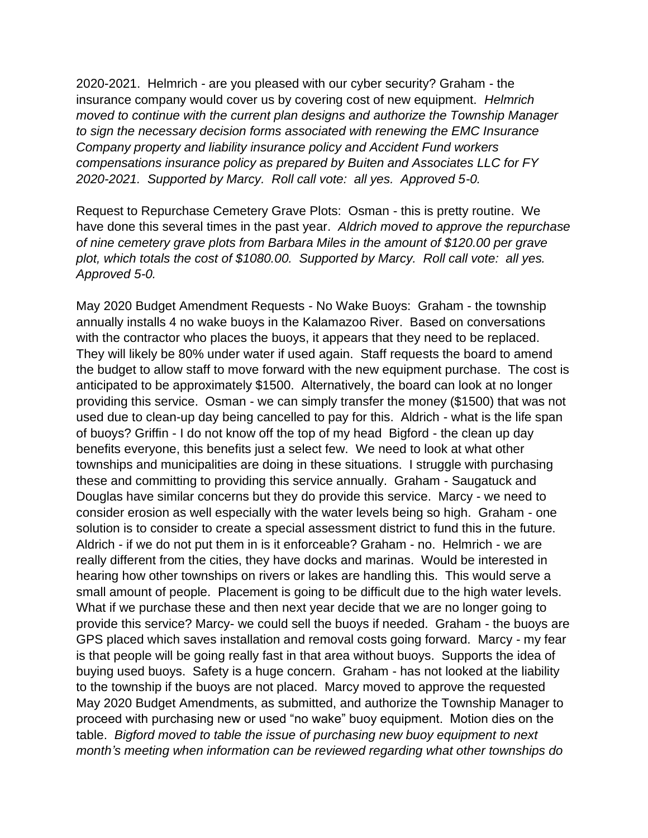2020-2021. Helmrich - are you pleased with our cyber security? Graham - the insurance company would cover us by covering cost of new equipment. *Helmrich moved to continue with the current plan designs and authorize the Township Manager to sign the necessary decision forms associated with renewing the EMC Insurance Company property and liability insurance policy and Accident Fund workers compensations insurance policy as prepared by Buiten and Associates LLC for FY 2020-2021. Supported by Marcy. Roll call vote: all yes. Approved 5-0.*

Request to Repurchase Cemetery Grave Plots: Osman - this is pretty routine. We have done this several times in the past year. *Aldrich moved to approve the repurchase of nine cemetery grave plots from Barbara Miles in the amount of \$120.00 per grave plot, which totals the cost of \$1080.00. Supported by Marcy. Roll call vote: all yes. Approved 5-0.*

May 2020 Budget Amendment Requests - No Wake Buoys: Graham - the township annually installs 4 no wake buoys in the Kalamazoo River. Based on conversations with the contractor who places the buoys, it appears that they need to be replaced. They will likely be 80% under water if used again. Staff requests the board to amend the budget to allow staff to move forward with the new equipment purchase. The cost is anticipated to be approximately \$1500. Alternatively, the board can look at no longer providing this service. Osman - we can simply transfer the money (\$1500) that was not used due to clean-up day being cancelled to pay for this. Aldrich - what is the life span of buoys? Griffin - I do not know off the top of my head Bigford - the clean up day benefits everyone, this benefits just a select few. We need to look at what other townships and municipalities are doing in these situations. I struggle with purchasing these and committing to providing this service annually. Graham - Saugatuck and Douglas have similar concerns but they do provide this service. Marcy - we need to consider erosion as well especially with the water levels being so high. Graham - one solution is to consider to create a special assessment district to fund this in the future. Aldrich - if we do not put them in is it enforceable? Graham - no. Helmrich - we are really different from the cities, they have docks and marinas. Would be interested in hearing how other townships on rivers or lakes are handling this. This would serve a small amount of people. Placement is going to be difficult due to the high water levels. What if we purchase these and then next year decide that we are no longer going to provide this service? Marcy- we could sell the buoys if needed. Graham - the buoys are GPS placed which saves installation and removal costs going forward. Marcy - my fear is that people will be going really fast in that area without buoys. Supports the idea of buying used buoys. Safety is a huge concern. Graham - has not looked at the liability to the township if the buoys are not placed. Marcy moved to approve the requested May 2020 Budget Amendments, as submitted, and authorize the Township Manager to proceed with purchasing new or used "no wake" buoy equipment. Motion dies on the table. *Bigford moved to table the issue of purchasing new buoy equipment to next month's meeting when information can be reviewed regarding what other townships do*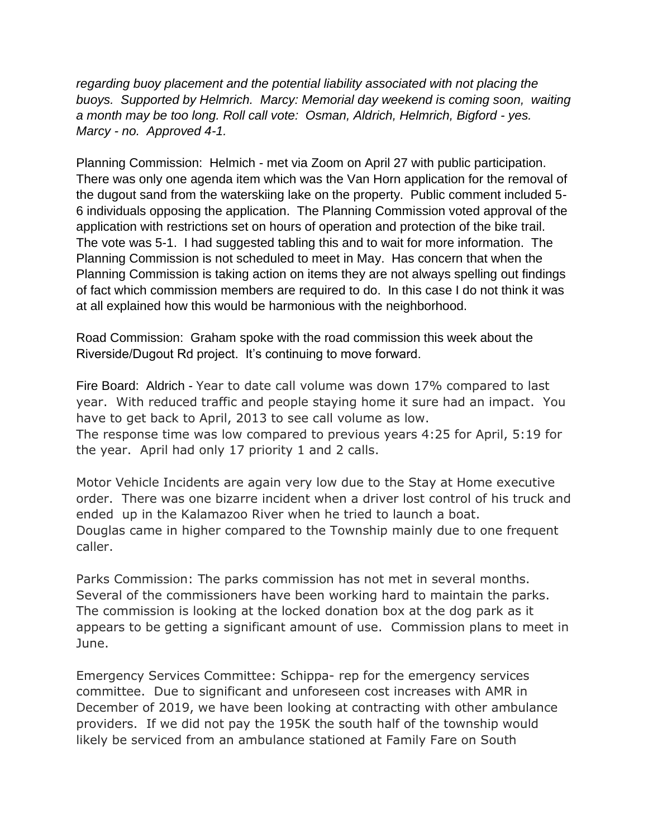*regarding buoy placement and the potential liability associated with not placing the buoys. Supported by Helmrich. Marcy: Memorial day weekend is coming soon, waiting a month may be too long. Roll call vote: Osman, Aldrich, Helmrich, Bigford - yes. Marcy - no. Approved 4-1.* 

Planning Commission: Helmich - met via Zoom on April 27 with public participation. There was only one agenda item which was the Van Horn application for the removal of the dugout sand from the waterskiing lake on the property. Public comment included 5- 6 individuals opposing the application. The Planning Commission voted approval of the application with restrictions set on hours of operation and protection of the bike trail. The vote was 5-1. I had suggested tabling this and to wait for more information. The Planning Commission is not scheduled to meet in May. Has concern that when the Planning Commission is taking action on items they are not always spelling out findings of fact which commission members are required to do. In this case I do not think it was at all explained how this would be harmonious with the neighborhood.

Road Commission: Graham spoke with the road commission this week about the Riverside/Dugout Rd project. It's continuing to move forward.

Fire Board: Aldrich - Year to date call volume was down 17% compared to last year. With reduced traffic and people staying home it sure had an impact. You have to get back to April, 2013 to see call volume as low. The response time was low compared to previous years 4:25 for April, 5:19 for the year. April had only 17 priority 1 and 2 calls.

Motor Vehicle Incidents are again very low due to the Stay at Home executive order. There was one bizarre incident when a driver lost control of his truck and ended up in the Kalamazoo River when he tried to launch a boat. Douglas came in higher compared to the Township mainly due to one frequent caller.

Parks Commission: The parks commission has not met in several months. Several of the commissioners have been working hard to maintain the parks. The commission is looking at the locked donation box at the dog park as it appears to be getting a significant amount of use. Commission plans to meet in June.

Emergency Services Committee: Schippa- rep for the emergency services committee. Due to significant and unforeseen cost increases with AMR in December of 2019, we have been looking at contracting with other ambulance providers. If we did not pay the 195K the south half of the township would likely be serviced from an ambulance stationed at Family Fare on South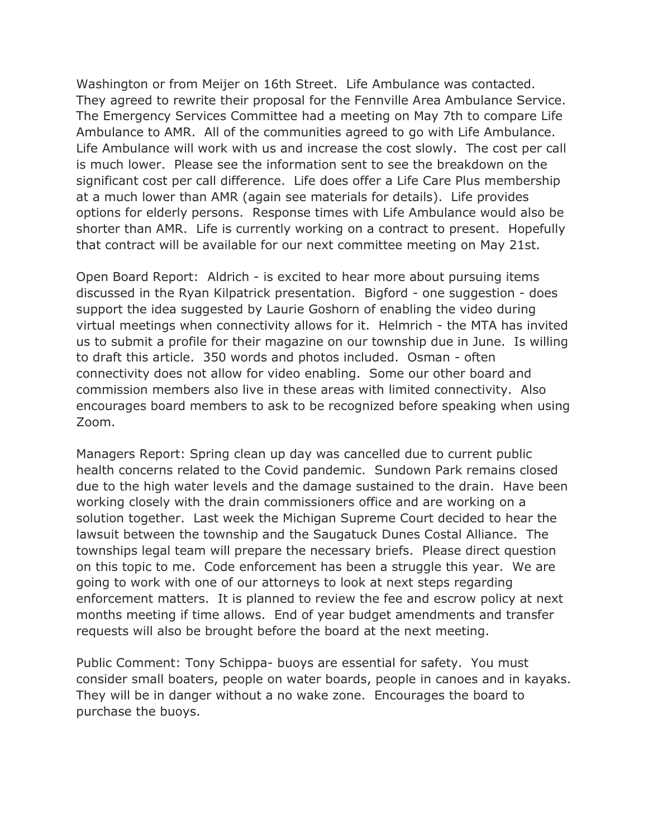Washington or from Meijer on 16th Street. Life Ambulance was contacted. They agreed to rewrite their proposal for the Fennville Area Ambulance Service. The Emergency Services Committee had a meeting on May 7th to compare Life Ambulance to AMR. All of the communities agreed to go with Life Ambulance. Life Ambulance will work with us and increase the cost slowly. The cost per call is much lower. Please see the information sent to see the breakdown on the significant cost per call difference. Life does offer a Life Care Plus membership at a much lower than AMR (again see materials for details). Life provides options for elderly persons. Response times with Life Ambulance would also be shorter than AMR. Life is currently working on a contract to present. Hopefully that contract will be available for our next committee meeting on May 21st.

Open Board Report: Aldrich - is excited to hear more about pursuing items discussed in the Ryan Kilpatrick presentation. Bigford - one suggestion - does support the idea suggested by Laurie Goshorn of enabling the video during virtual meetings when connectivity allows for it. Helmrich - the MTA has invited us to submit a profile for their magazine on our township due in June. Is willing to draft this article. 350 words and photos included. Osman - often connectivity does not allow for video enabling. Some our other board and commission members also live in these areas with limited connectivity. Also encourages board members to ask to be recognized before speaking when using Zoom.

Managers Report: Spring clean up day was cancelled due to current public health concerns related to the Covid pandemic. Sundown Park remains closed due to the high water levels and the damage sustained to the drain. Have been working closely with the drain commissioners office and are working on a solution together. Last week the Michigan Supreme Court decided to hear the lawsuit between the township and the Saugatuck Dunes Costal Alliance. The townships legal team will prepare the necessary briefs. Please direct question on this topic to me. Code enforcement has been a struggle this year. We are going to work with one of our attorneys to look at next steps regarding enforcement matters. It is planned to review the fee and escrow policy at next months meeting if time allows. End of year budget amendments and transfer requests will also be brought before the board at the next meeting.

Public Comment: Tony Schippa- buoys are essential for safety. You must consider small boaters, people on water boards, people in canoes and in kayaks. They will be in danger without a no wake zone. Encourages the board to purchase the buoys.